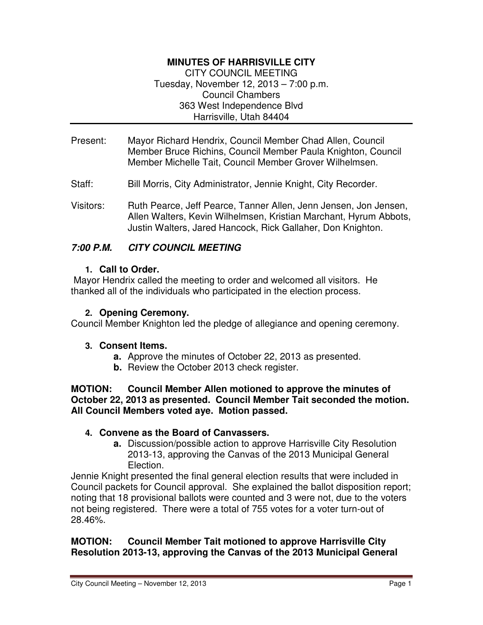# **MINUTES OF HARRISVILLE CITY**

CITY COUNCIL MEETING Tuesday, November 12, 2013 – 7:00 p.m. Council Chambers 363 West Independence Blvd Harrisville, Utah 84404

- Present: Mayor Richard Hendrix, Council Member Chad Allen, Council Member Bruce Richins, Council Member Paula Knighton, Council Member Michelle Tait, Council Member Grover Wilhelmsen.
- Staff: Bill Morris, City Administrator, Jennie Knight, City Recorder.
- Visitors: Ruth Pearce, Jeff Pearce, Tanner Allen, Jenn Jensen, Jon Jensen, Allen Walters, Kevin Wilhelmsen, Kristian Marchant, Hyrum Abbots, Justin Walters, Jared Hancock, Rick Gallaher, Don Knighton.

## **7:00 P.M. CITY COUNCIL MEETING**

#### **1. Call to Order.**

 Mayor Hendrix called the meeting to order and welcomed all visitors. He thanked all of the individuals who participated in the election process.

#### **2. Opening Ceremony.**

Council Member Knighton led the pledge of allegiance and opening ceremony.

#### **3. Consent Items.**

- **a.** Approve the minutes of October 22, 2013 as presented.
- **b.** Review the October 2013 check register.

**MOTION: Council Member Allen motioned to approve the minutes of October 22, 2013 as presented. Council Member Tait seconded the motion. All Council Members voted aye. Motion passed.** 

### **4. Convene as the Board of Canvassers.**

**a.** Discussion/possible action to approve Harrisville City Resolution 2013-13, approving the Canvas of the 2013 Municipal General Election.

Jennie Knight presented the final general election results that were included in Council packets for Council approval. She explained the ballot disposition report; noting that 18 provisional ballots were counted and 3 were not, due to the voters not being registered. There were a total of 755 votes for a voter turn-out of 28.46%.

### **MOTION: Council Member Tait motioned to approve Harrisville City Resolution 2013-13, approving the Canvas of the 2013 Municipal General**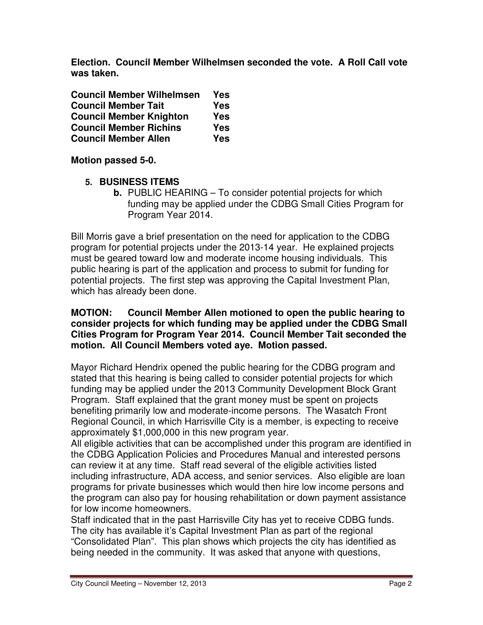**Election. Council Member Wilhelmsen seconded the vote. A Roll Call vote was taken.** 

| <b>Council Member Wilhelmsen</b> | Yes        |
|----------------------------------|------------|
| <b>Council Member Tait</b>       | <b>Yes</b> |
| <b>Council Member Knighton</b>   | <b>Yes</b> |
| <b>Council Member Richins</b>    | <b>Yes</b> |
| <b>Council Member Allen</b>      | <b>Yes</b> |

**Motion passed 5-0.** 

- **5. BUSINESS ITEMS** 
	- **b.** PUBLIC HEARING To consider potential projects for which funding may be applied under the CDBG Small Cities Program for Program Year 2014.

Bill Morris gave a brief presentation on the need for application to the CDBG program for potential projects under the 2013-14 year. He explained projects must be geared toward low and moderate income housing individuals. This public hearing is part of the application and process to submit for funding for potential projects. The first step was approving the Capital Investment Plan, which has already been done.

#### **MOTION: Council Member Allen motioned to open the public hearing to consider projects for which funding may be applied under the CDBG Small Cities Program for Program Year 2014. Council Member Tait seconded the motion. All Council Members voted aye. Motion passed.**

Mayor Richard Hendrix opened the public hearing for the CDBG program and stated that this hearing is being called to consider potential projects for which funding may be applied under the 2013 Community Development Block Grant Program. Staff explained that the grant money must be spent on projects benefiting primarily low and moderate-income persons. The Wasatch Front Regional Council, in which Harrisville City is a member, is expecting to receive approximately \$1,000,000 in this new program year.

All eligible activities that can be accomplished under this program are identified in the CDBG Application Policies and Procedures Manual and interested persons can review it at any time. Staff read several of the eligible activities listed including infrastructure, ADA access, and senior services. Also eligible are loan programs for private businesses which would then hire low income persons and the program can also pay for housing rehabilitation or down payment assistance for low income homeowners.

Staff indicated that in the past Harrisville City has yet to receive CDBG funds. The city has available it's Capital Investment Plan as part of the regional "Consolidated Plan". This plan shows which projects the city has identified as being needed in the community. It was asked that anyone with questions,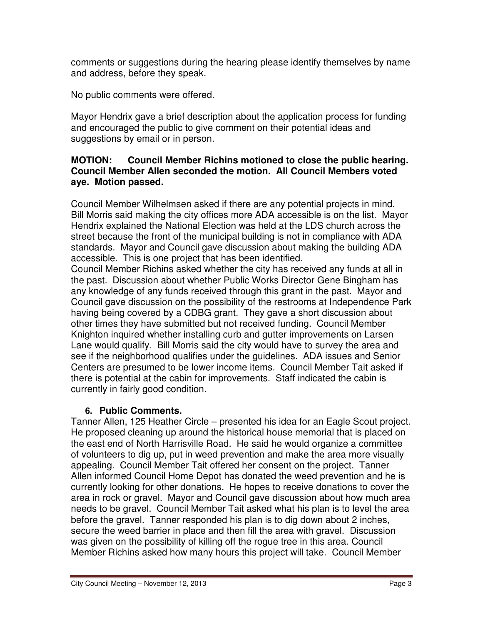comments or suggestions during the hearing please identify themselves by name and address, before they speak.

No public comments were offered.

Mayor Hendrix gave a brief description about the application process for funding and encouraged the public to give comment on their potential ideas and suggestions by email or in person.

### **MOTION: Council Member Richins motioned to close the public hearing. Council Member Allen seconded the motion. All Council Members voted aye. Motion passed.**

Council Member Wilhelmsen asked if there are any potential projects in mind. Bill Morris said making the city offices more ADA accessible is on the list. Mayor Hendrix explained the National Election was held at the LDS church across the street because the front of the municipal building is not in compliance with ADA standards. Mayor and Council gave discussion about making the building ADA accessible. This is one project that has been identified.

Council Member Richins asked whether the city has received any funds at all in the past. Discussion about whether Public Works Director Gene Bingham has any knowledge of any funds received through this grant in the past. Mayor and Council gave discussion on the possibility of the restrooms at Independence Park having being covered by a CDBG grant. They gave a short discussion about other times they have submitted but not received funding. Council Member Knighton inquired whether installing curb and gutter improvements on Larsen Lane would qualify. Bill Morris said the city would have to survey the area and see if the neighborhood qualifies under the guidelines. ADA issues and Senior Centers are presumed to be lower income items. Council Member Tait asked if there is potential at the cabin for improvements. Staff indicated the cabin is currently in fairly good condition.

# **6. Public Comments.**

Tanner Allen, 125 Heather Circle – presented his idea for an Eagle Scout project. He proposed cleaning up around the historical house memorial that is placed on the east end of North Harrisville Road. He said he would organize a committee of volunteers to dig up, put in weed prevention and make the area more visually appealing. Council Member Tait offered her consent on the project. Tanner Allen informed Council Home Depot has donated the weed prevention and he is currently looking for other donations. He hopes to receive donations to cover the area in rock or gravel. Mayor and Council gave discussion about how much area needs to be gravel. Council Member Tait asked what his plan is to level the area before the gravel. Tanner responded his plan is to dig down about 2 inches, secure the weed barrier in place and then fill the area with gravel. Discussion was given on the possibility of killing off the rogue tree in this area. Council Member Richins asked how many hours this project will take. Council Member